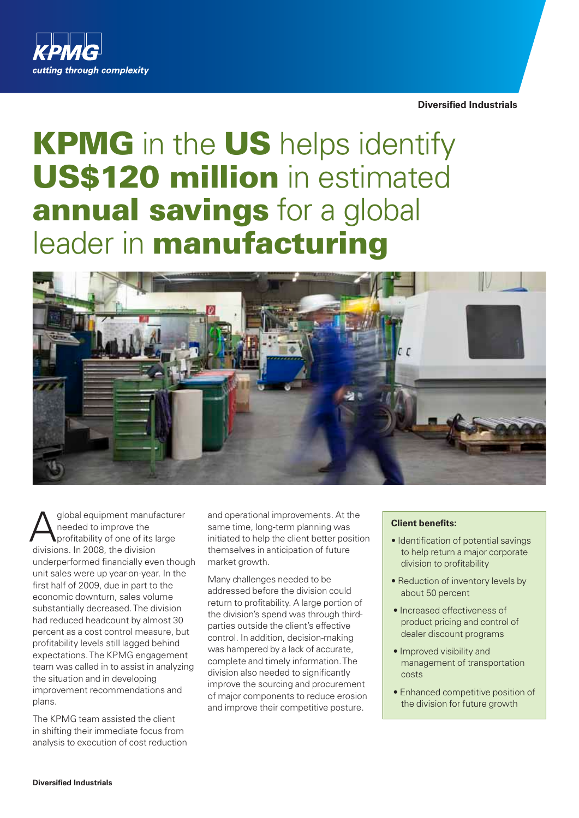

**Diversified Industrials**

# KPMG in the US helps identify US\$120 million in estimated annual savings for a global leader in **manufacturing**



global equipment manufacturer needed to improve the profitability of one of its large divisions. In 2008, the division underperformed financially even though unit sales were up year-on-year. In the first half of 2009, due in part to the economic downturn, sales volume substantially decreased. The division had reduced headcount by almost 30 percent as a cost control measure, but profitability levels still lagged behind expectations. The KPMG engagement team was called in to assist in analyzing the situation and in developing improvement recommendations and plans.

The KPMG team assisted the client in shifting their immediate focus from analysis to execution of cost reduction

and operational improvements. At the same time, long-term planning was initiated to help the client better position themselves in anticipation of future market growth.

Many challenges needed to be addressed before the division could return to profitability. A large portion of the division's spend was through thirdparties outside the client's effective control. In addition, decision-making was hampered by a lack of accurate, complete and timely information. The division also needed to significantly improve the sourcing and procurement of major components to reduce erosion and improve their competitive posture.

# **Client benefits:**

- Identification of potential savings to help return a major corporate division to profitability
- Reduction of inventory levels by about 50 percent
- Increased effectiveness of product pricing and control of dealer discount programs
- Improved visibility and management of transportation costs
- Enhanced competitive position of the division for future growth